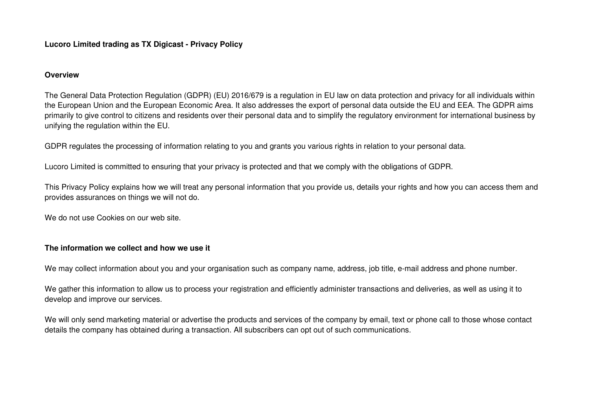### **Overview**

The General Data Protection Regulation (GDPR) (EU) 2016/679 is a regulation in EU law on data protection and privacy for all individuals within the European Union and the European Economic Area. It also addresses the export of personal data outside the EU and EEA. The GDPR aims primarily to give control to citizens and residents over their personal data and to simplify the regulatory environment for international business by unifying the regulation within the EU.

GDPR regulates the processing of information relating to you and grants you various rights in relation to your personal data.

Lucoro Limited is committed to ensuring that your privacy is protected and that we comply with the obligations of GDPR.

This Privacy Policy explains how we will treat any personal information that you provide us, details your rights and how you can access them and provides assurances on things we will not do.

We do not use Cookies on our web site.

## **The information we collect and how we use it**

We may collect information about you and your organisation such as company name, address, job title, e-mail address and phone number.

We gather this information to allow us to process your registration and efficiently administer transactions and deliveries, as well as using it to develop and improve our services.

We will only send marketing material or advertise the products and services of the company by email, text or phone call to those whose contact details the company has obtained during a transaction. All subscribers can opt out of such communications.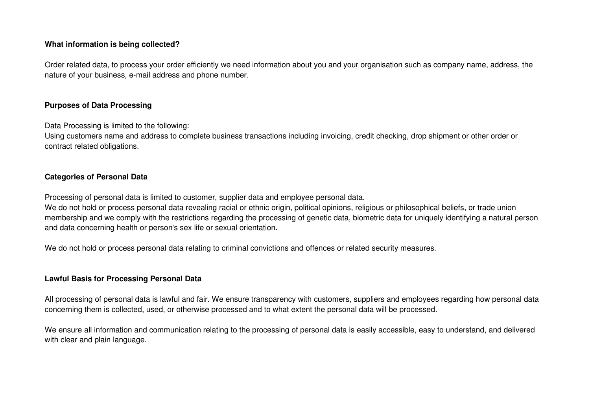## **What information is being collected?**

Order related data, to process your order efficiently we need information about you and your organisation such as company name, address, the nature of your business, e-mail address and phone number.

## **Purposes of Data Processing**

Data Processing is limited to the following:

Using customers name and address to complete business transactions including invoicing, credit checking, drop shipment or other order or contract related obligations.

## **Categories of Personal Data**

Processing of personal data is limited to customer, supplier data and employee personal data.

We do not hold or process personal data revealing racial or ethnic origin, political opinions, religious or philosophical beliefs, or trade union membership and we comply with the restrictions regarding the processing of genetic data, biometric data for uniquely identifying a natural person and data concerning health or person's sex life or sexual orientation.

We do not hold or process personal data relating to criminal convictions and offences or related security measures.

## **Lawful Basis for Processing Personal Data**

All processing of personal data is lawful and fair. We ensure transparency with customers, suppliers and employees regarding how personal data concerning them is collected, used, or otherwise processed and to what extent the personal data will be processed.

We ensure all information and communication relating to the processing of personal data is easily accessible, easy to understand, and delivered with clear and plain language.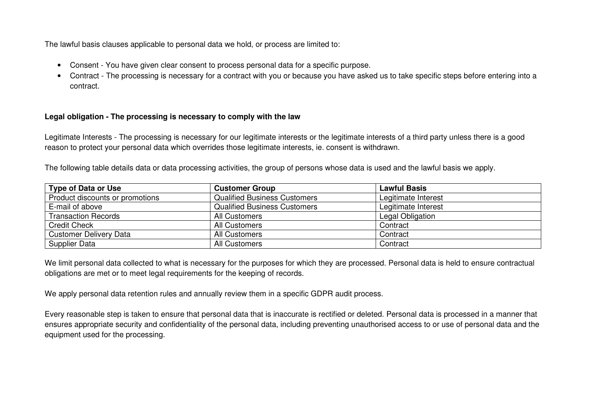The lawful basis clauses applicable to personal data we hold, or process are limited to:

- Consent You have given clear consent to process personal data for a specific purpose.
- Contract The processing is necessary for a contract with you or because you have asked us to take specific steps before entering into a contract.

# **Legal obligation - The processing is necessary to comply with the law**

Legitimate Interests - The processing is necessary for our legitimate interests or the legitimate interests of a third party unless there is a good reason to protect your personal data which overrides those legitimate interests, ie. consent is withdrawn.

The following table details data or data processing activities, the group of persons whose data is used and the lawful basis we apply.

| <b>Type of Data or Use</b>      | <b>Customer Group</b>               | <b>Lawful Basis</b> |
|---------------------------------|-------------------------------------|---------------------|
| Product discounts or promotions | <b>Qualified Business Customers</b> | Legitimate Interest |
| E-mail of above                 | <b>Qualified Business Customers</b> | Legitimate Interest |
| <b>Transaction Records</b>      | All Customers                       | Legal Obligation    |
| <b>Credit Check</b>             | All Customers                       | Contract            |
| <b>Customer Delivery Data</b>   | All Customers                       | Contract            |
| <b>Supplier Data</b>            | All Customers                       | Contract            |

We limit personal data collected to what is necessary for the purposes for which they are processed. Personal data is held to ensure contractual obligations are met or to meet legal requirements for the keeping of records.

We apply personal data retention rules and annually review them in a specific GDPR audit process.

Every reasonable step is taken to ensure that personal data that is inaccurate is rectified or deleted. Personal data is processed in a manner that ensures appropriate security and confidentiality of the personal data, including preventing unauthorised access to or use of personal data and the equipment used for the processing.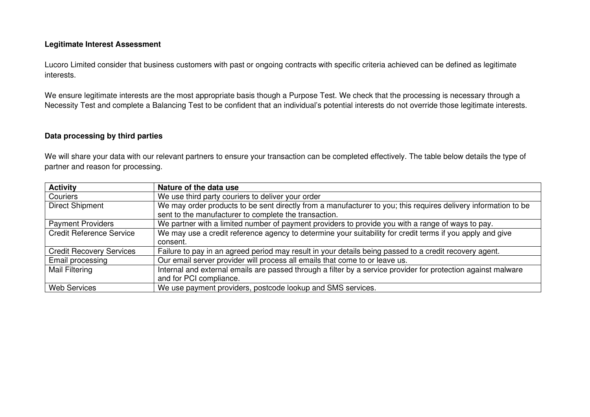## **Legitimate Interest Assessment**

Lucoro Limited consider that business customers with past or ongoing contracts with specific criteria achieved can be defined as legitimate interests.

We ensure legitimate interests are the most appropriate basis though a Purpose Test. We check that the processing is necessary through a Necessity Test and complete a Balancing Test to be confident that an individual's potential interests do not override those legitimate interests.

## **Data processing by third parties**

We will share your data with our relevant partners to ensure your transaction can be completed effectively. The table below details the type of partner and reason for processing.

| <b>Activity</b>                 | Nature of the data use                                                                                         |
|---------------------------------|----------------------------------------------------------------------------------------------------------------|
| Couriers                        | We use third party couriers to deliver your order                                                              |
| <b>Direct Shipment</b>          | We may order products to be sent directly from a manufacturer to you; this requires delivery information to be |
|                                 | sent to the manufacturer to complete the transaction.                                                          |
| <b>Payment Providers</b>        | We partner with a limited number of payment providers to provide you with a range of ways to pay.              |
| <b>Credit Reference Service</b> | We may use a credit reference agency to determine your suitability for credit terms if you apply and give      |
|                                 | consent.                                                                                                       |
| <b>Credit Recovery Services</b> | Failure to pay in an agreed period may result in your details being passed to a credit recovery agent.         |
| Email processing                | Our email server provider will process all emails that come to or leave us.                                    |
| Mail Filtering                  | Internal and external emails are passed through a filter by a service provider for protection against malware  |
|                                 | and for PCI compliance.                                                                                        |
| <b>Web Services</b>             | We use payment providers, postcode lookup and SMS services.                                                    |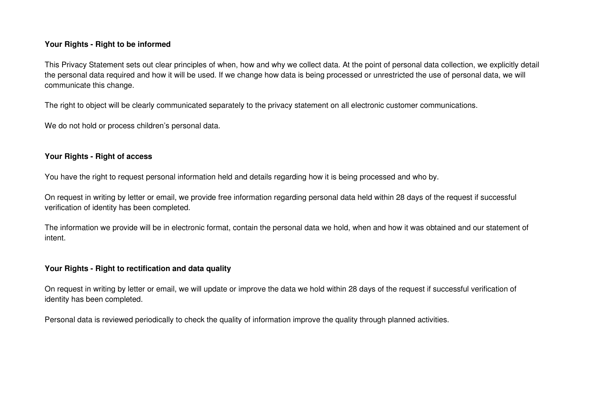## **Your Rights - Right to be informed**

This Privacy Statement sets out clear principles of when, how and why we collect data. At the point of personal data collection, we explicitly detail the personal data required and how it will be used. If we change how data is being processed or unrestricted the use of personal data, we will communicate this change.

The right to object will be clearly communicated separately to the privacy statement on all electronic customer communications.

We do not hold or process children's personal data.

## **Your Rights - Right of access**

You have the right to request personal information held and details regarding how it is being processed and who by.

On request in writing by letter or email, we provide free information regarding personal data held within 28 days of the request if successful verification of identity has been completed.

The information we provide will be in electronic format, contain the personal data we hold, when and how it was obtained and our statement of intent.

### **Your Rights - Right to rectification and data quality**

On request in writing by letter or email, we will update or improve the data we hold within 28 days of the request if successful verification of identity has been completed.

Personal data is reviewed periodically to check the quality of information improve the quality through planned activities.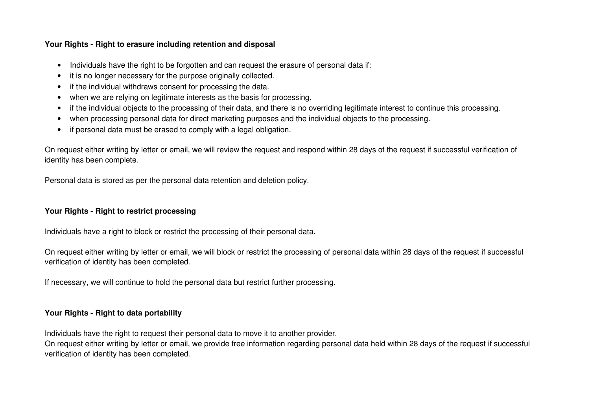# **Your Rights - Right to erasure including retention and disposal**

- Individuals have the right to be forgotten and can request the erasure of personal data if:
- it is no longer necessary for the purpose originally collected.
- if the individual withdraws consent for processing the data.
- when we are relying on legitimate interests as the basis for processing.
- if the individual objects to the processing of their data, and there is no overriding legitimate interest to continue this processing.
- when processing personal data for direct marketing purposes and the individual objects to the processing.
- if personal data must be erased to comply with a legal obligation.

On request either writing by letter or email, we will review the request and respond within 28 days of the request if successful verification of identity has been complete.

Personal data is stored as per the personal data retention and deletion policy.

# **Your Rights - Right to restrict processing**

Individuals have a right to block or restrict the processing of their personal data.

On request either writing by letter or email, we will block or restrict the processing of personal data within 28 days of the request if successful verification of identity has been completed.

If necessary, we will continue to hold the personal data but restrict further processing.

# **Your Rights - Right to data portability**

Individuals have the right to request their personal data to move it to another provider.

On request either writing by letter or email, we provide free information regarding personal data held within 28 days of the request if successful verification of identity has been completed.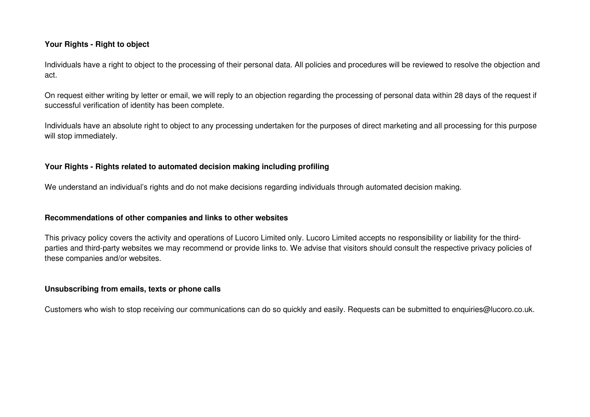## **Your Rights - Right to object**

Individuals have a right to object to the processing of their personal data. All policies and procedures will be reviewed to resolve the objection and act.

On request either writing by letter or email, we will reply to an objection regarding the processing of personal data within 28 days of the request if successful verification of identity has been complete.

Individuals have an absolute right to object to any processing undertaken for the purposes of direct marketing and all processing for this purpose will stop immediately.

## **Your Rights - Rights related to automated decision making including profiling**

We understand an individual's rights and do not make decisions regarding individuals through automated decision making.

#### **Recommendations of other companies and links to other websites**

This privacy policy covers the activity and operations of Lucoro Limited only. Lucoro Limited accepts no responsibility or liability for the thirdparties and third-party websites we may recommend or provide links to. We advise that visitors should consult the respective privacy policies of these companies and/or websites.

#### **Unsubscribing from emails, texts or phone calls**

Customers who wish to stop receiving our communications can do so quickly and easily. Requests can be submitted to enquiries@lucoro.co.uk.